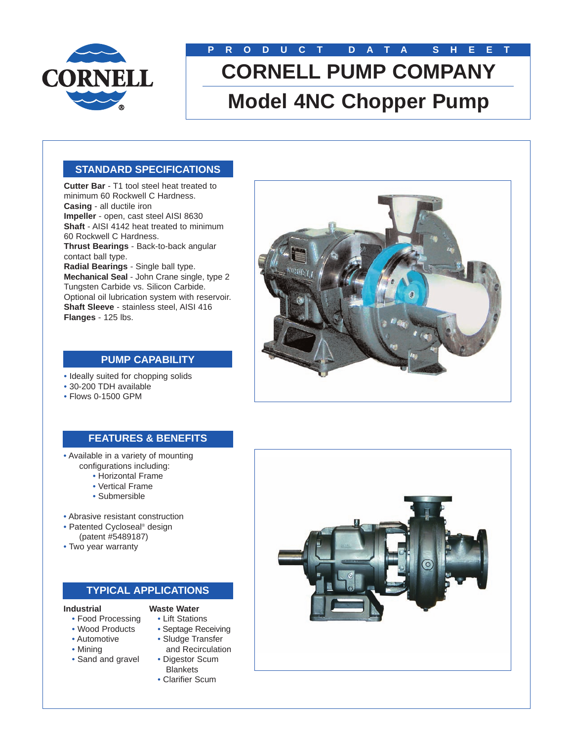

# **PRODUCT DATA SHEET CORNELL PUMP COMPANY Model 4NC Chopper Pump**

# **STANDARD SPECIFICATIONS**

**Cutter Bar** - T1 tool steel heat treated to minimum 60 Rockwell C Hardness. **Casing** - all ductile iron **Impeller** - open, cast steel AISI 8630 **Shaft** - AISI 4142 heat treated to minimum 60 Rockwell C Hardness. **Thrust Bearings** - Back-to-back angular contact ball type. **Radial Bearings** - Single ball type. **Mechanical Seal** - John Crane single, type 2 Tungsten Carbide vs. Silicon Carbide. Optional oil lubrication system with reservoir. **Shaft Sleeve** - stainless steel, AISI 416 **Flanges** - 125 lbs.



### **PUMP CAPABILITY**

- Ideally suited for chopping solids
- 30-200 TDH available
- Flows 0-1500 GPM

# **FEATURES & BENEFITS**

- Available in a variety of mounting configurations including:
	- Horizontal Frame
	- Vertical Frame
	- Submersible
- Abrasive resistant construction
- Patented Cycloseal® design (patent #5489187)
- Two year warranty

### **TYPICAL APPLICATIONS**

#### **Industrial**

- **Waste Water** • Lift Stations
- Food Processing • Wood Products
- Septage Receiving
- 
- Automotive • Mining
- Sand and gravel
- Sludge Transfer and Recirculation
- Digestor Scum **Blankets**
- Clarifier Scum